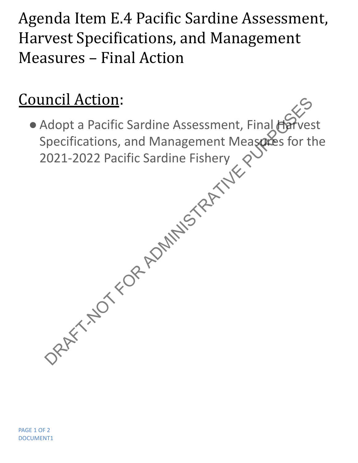Agenda Item E.4 Pacific Sardine Assessment, Harvest Specifications, and Management Measures – Final Action

## Council Action:

● Adopt a Pacific Sardine Assessment, Final Harv Specifications, and Management Measures for the 2021-2022 Pacific Sardine Fishery DRAFT-NOT-RESERVED AND RESERVED AND RESERVED AND RESERVED AND RESERVED AND RESERVED AND RESERVED AND RESERVED AND RESERVED AND RESERVED AND RESERVED AND RESERVED AND RESERVED AND RESERVED AND RESERVED AND RESERVED AND RESE